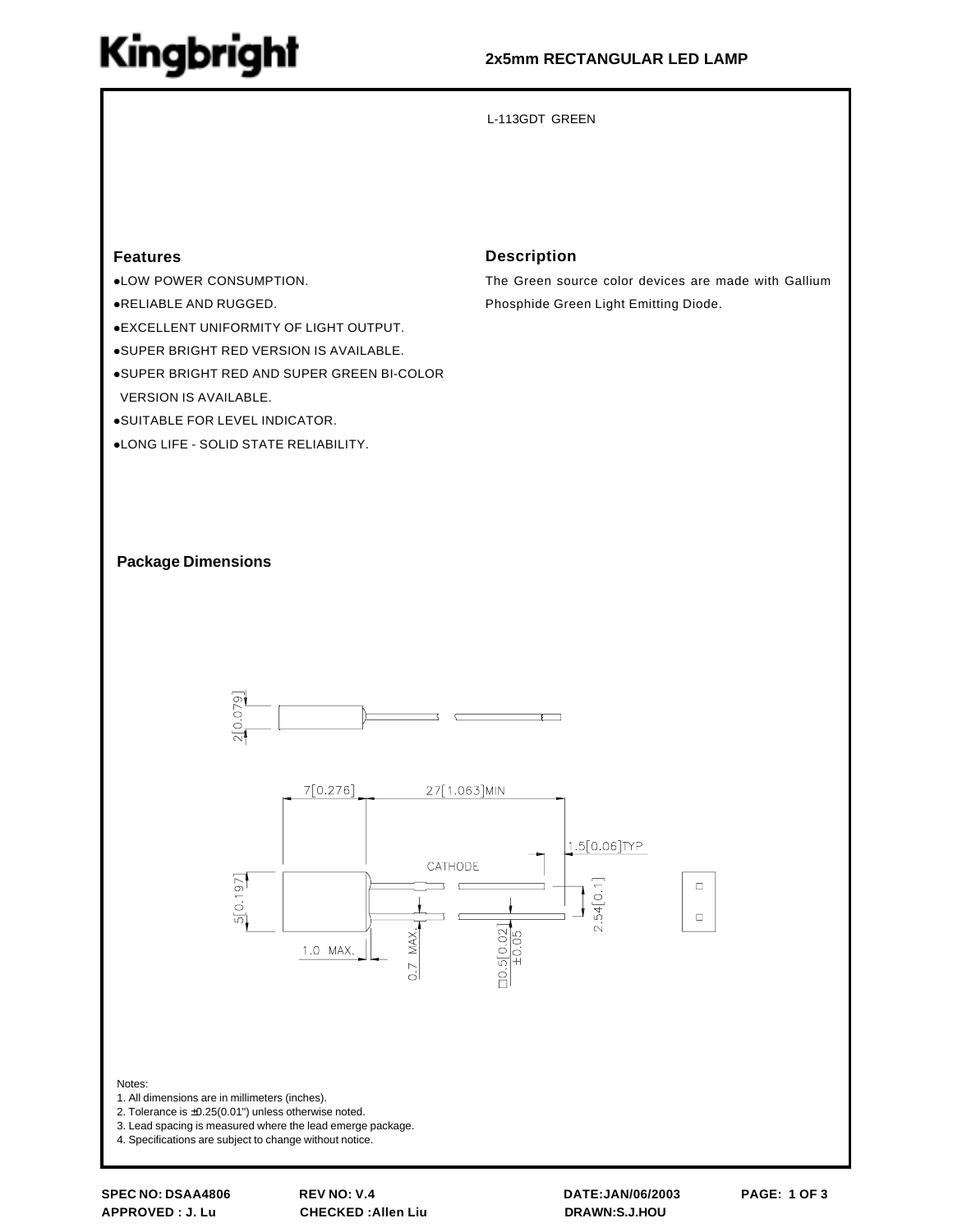## **Kingbright**

#### **2x5mm RECTANGULAR LED LAMP**

L-113GDT GREEN

#### **Features**

- **.LOW POWER CONSUMPTION.**
- !RELIABLE AND RUGGED.
- !EXCELLENT UNIFORMITY OF LIGHT OUTPUT.
- !SUPER BRIGHT RED VERSION IS AVAILABLE.
- **.SUPER BRIGHT RED AND SUPER GREEN BI-COLOR**
- VERSION IS AVAILABLE.
- **.SUITABLE FOR LEVEL INDICATOR.**
- !LONG LIFE SOLID STATE RELIABILITY.

#### **Description**

The Green source color devices are made with Gallium Phosphide Green Light Emitting Diode.

#### **Package Dimensions**





Notes:

- 1. All dimensions are in millimeters (inches).
- 2. Tolerance is ±0.25(0.01") unless otherwise noted.
- 3. Lead spacing is measured where the lead emerge package.

4. Specifications are subject to change without notice.

**APPROVED : J. Lu CHECKED :Allen Liu DRAWN:S.J.HOU**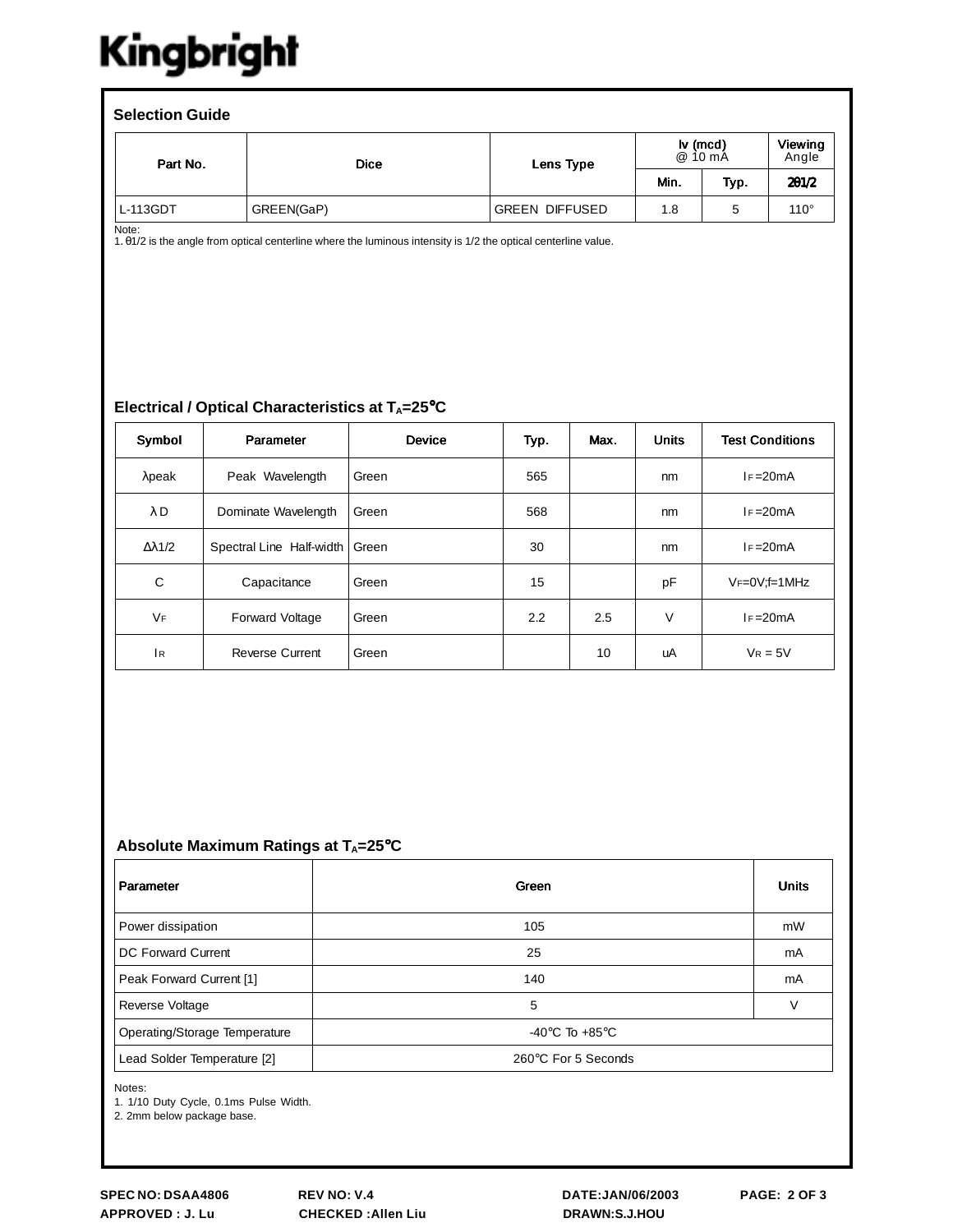# Kingbright

| <b>Selection Guide</b> |             |                       |                                          |      |                         |  |  |  |  |
|------------------------|-------------|-----------------------|------------------------------------------|------|-------------------------|--|--|--|--|
| Part No.               | <b>Dice</b> | Lens Type             | $\mathsf{I} \mathsf{v}$ (mcd)<br>@ 10 mA |      | <b>Viewing</b><br>Angle |  |  |  |  |
|                        |             |                       | Min.                                     | Typ. | 201/2                   |  |  |  |  |
| L-113GDT               | GREEN(GaP)  | <b>GREEN DIFFUSED</b> | 1.8                                      | 5    | $110^\circ$             |  |  |  |  |

Note:

1. θ1/2 is the angle from optical centerline where the luminous intensity is 1/2 the optical centerline value.

#### **Electrical / Optical Characteristics at T<sub>A</sub>=25°C**

| Symbol               | Parameter                | <b>Device</b> | Typ. | Max. | <b>Units</b> | <b>Test Conditions</b> |  |
|----------------------|--------------------------|---------------|------|------|--------------|------------------------|--|
| $λ$ peak             | Peak Wavelength          | Green         | 565  |      | nm           | $I = 20mA$             |  |
| $\lambda$ D          | Dominate Wavelength      | Green         | 568  |      | nm           | $IF = 20mA$            |  |
| $\Delta \lambda$ 1/2 | Spectral Line Half-width | Green         | 30   |      | nm           | $IF = 20mA$            |  |
| C                    | Capacitance              | Green         | 15   |      | pF           | $V_F=0V$ ; f=1 MHz     |  |
| <b>VF</b>            | Forward Voltage          | Green         | 2.2  | 2.5  | V            | $I = 20mA$             |  |
| <sup>1</sup> R       | <b>Reverse Current</b>   | Green         |      | 10   | uA           | $V_R = 5V$             |  |

#### Absolute Maximum Ratings at T<sub>A</sub>=25°C

| Parameter                     | Green                                | <b>Units</b> |
|-------------------------------|--------------------------------------|--------------|
| Power dissipation             | 105                                  | mW           |
| DC Forward Current            | 25                                   | mA           |
| Peak Forward Current [1]      | 140                                  | mA           |
| Reverse Voltage               | 5                                    | $\vee$       |
| Operating/Storage Temperature | -40 $^{\circ}$ C To +85 $^{\circ}$ C |              |
| Lead Solder Temperature [2]   | 260°C For 5 Seconds                  |              |

Notes:

1. 1/10 Duty Cycle, 0.1ms Pulse Width.

2. 2mm below package base.